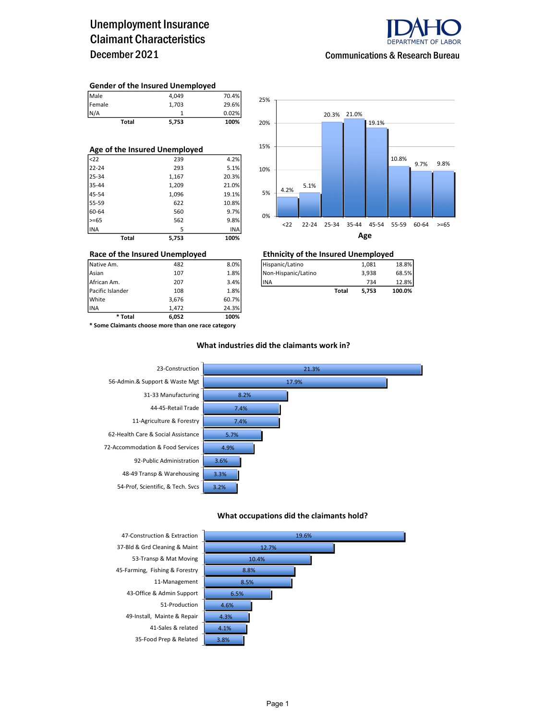### Unemployment Insurance Claimant Characteristics December 2021



#### Communications & Research Bureau

#### Gender of the Insured Unemployed

| <b>Total</b> | 5,753 | 100%  |
|--------------|-------|-------|
| N/A          |       | 0.02% |
| Female       | 1.703 | 29.6% |
| Male         | 4.049 | 70.4% |

| Age of the Insured Unemployed |       |       |  |  |  |  |  |
|-------------------------------|-------|-------|--|--|--|--|--|
| <sub>22</sub>                 | 239   | 4.2%  |  |  |  |  |  |
| 22-24                         | 293   | 5.1%  |  |  |  |  |  |
| 25-34                         | 1,167 | 20.3% |  |  |  |  |  |
| 35-44                         | 1,209 | 21.0% |  |  |  |  |  |
| 45-54                         | 1,096 | 19.1% |  |  |  |  |  |
| 55-59                         | 622   | 10.8% |  |  |  |  |  |
| 60-64                         | 560   | 9.7%  |  |  |  |  |  |
| $>= 65$                       | 562   | 9.8%  |  |  |  |  |  |
| INA                           | 5     | INA   |  |  |  |  |  |
| Total                         | 5.753 | 100%  |  |  |  |  |  |



## Race of the Insured Unemployed<br>
Native Am. 482 8.0% Hispanic/Latino 1,081 1,081

| Pacific Islander | 108 | 1.8% |                      | Total | 5.753 | 100.0% |
|------------------|-----|------|----------------------|-------|-------|--------|
| African Am.      | 207 | 3.4% | <b>IINA</b>          |       | 734   | 12.8%  |
| Asian            | 107 | 1.8% | INon-Hispanic/Latino |       | 3.938 | 68.5%  |
| Native Am.       | 482 | 8.0% | Hispanic/Latino      |       | 1.081 | 18.8%  |

INA 1,472 24.3% \* Some Claimants choose more than one race category

\* Total 6,052 100%

Pacific Islander 108 1.8% White 3,676 60.7%

#### What industries did the claimants work in?



#### What occupations did the claimants hold?



45-Farming, Fishing & Forestry 8.89 43-Office & Admin Support 51-Production 4.6% 49-Install, Mainte & Repair 4.3% 41-Sales & related 4.1%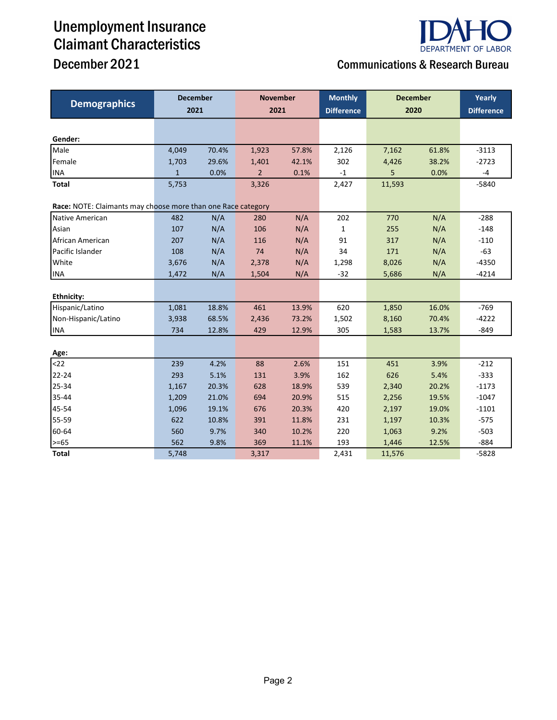# Unemployment Insurance Claimant Characteristics



## December 2021 Communications & Research Bureau

| <b>Demographics</b>                                          | <b>December</b><br>2021 |       | <b>November</b><br>2021 |       | <b>Monthly</b><br><b>Difference</b> | <b>December</b><br>2020 |       | Yearly<br><b>Difference</b> |
|--------------------------------------------------------------|-------------------------|-------|-------------------------|-------|-------------------------------------|-------------------------|-------|-----------------------------|
|                                                              |                         |       |                         |       |                                     |                         |       |                             |
| Gender:                                                      |                         |       |                         |       |                                     |                         |       |                             |
| Male                                                         | 4,049                   | 70.4% | 1,923                   | 57.8% | 2,126                               | 7,162                   | 61.8% | $-3113$                     |
| Female                                                       | 1,703                   | 29.6% | 1,401                   | 42.1% | 302                                 | 4,426                   | 38.2% | $-2723$                     |
| <b>INA</b>                                                   | $\mathbf{1}$            | 0.0%  | $\overline{2}$          | 0.1%  | $-1$                                | 5                       | 0.0%  | -4                          |
| <b>Total</b>                                                 | 5,753                   |       | 3,326                   |       | 2,427                               | 11,593                  |       | $-5840$                     |
| Race: NOTE: Claimants may choose more than one Race category |                         |       |                         |       |                                     |                         |       |                             |
| Native American                                              | 482                     | N/A   | 280                     | N/A   | 202                                 | 770                     | N/A   | $-288$                      |
| Asian                                                        | 107                     | N/A   | 106                     | N/A   | $\mathbf{1}$                        | 255                     | N/A   | $-148$                      |
| African American                                             | 207                     | N/A   | 116                     | N/A   | 91                                  | 317                     | N/A   | $-110$                      |
| Pacific Islander                                             | 108                     | N/A   | 74                      | N/A   | 34                                  | 171                     | N/A   | $-63$                       |
| White                                                        | 3,676                   | N/A   | 2,378                   | N/A   | 1,298                               | 8,026                   | N/A   | $-4350$                     |
| <b>INA</b>                                                   | 1,472                   | N/A   | 1,504                   | N/A   | $-32$                               | 5,686                   | N/A   | $-4214$                     |
|                                                              |                         |       |                         |       |                                     |                         |       |                             |
| Ethnicity:                                                   |                         |       |                         |       |                                     |                         |       |                             |
| Hispanic/Latino                                              | 1,081                   | 18.8% | 461                     | 13.9% | 620                                 | 1,850                   | 16.0% | $-769$                      |
| Non-Hispanic/Latino                                          | 3,938                   | 68.5% | 2,436                   | 73.2% | 1,502                               | 8,160                   | 70.4% | $-4222$                     |
| <b>INA</b>                                                   | 734                     | 12.8% | 429                     | 12.9% | 305                                 | 1,583                   | 13.7% | $-849$                      |
| Age:                                                         |                         |       |                         |       |                                     |                         |       |                             |
| $22$                                                         | 239                     | 4.2%  | 88                      | 2.6%  | 151                                 | 451                     | 3.9%  | $-212$                      |
| 22-24                                                        | 293                     | 5.1%  | 131                     | 3.9%  | 162                                 | 626                     | 5.4%  | $-333$                      |
| 25-34                                                        | 1,167                   | 20.3% | 628                     | 18.9% | 539                                 | 2,340                   | 20.2% | $-1173$                     |
| 35-44                                                        | 1,209                   | 21.0% | 694                     | 20.9% | 515                                 | 2,256                   | 19.5% | $-1047$                     |
| 45-54                                                        | 1,096                   | 19.1% | 676                     | 20.3% | 420                                 | 2,197                   | 19.0% | $-1101$                     |
| 55-59                                                        | 622                     | 10.8% | 391                     | 11.8% | 231                                 | 1,197                   | 10.3% | $-575$                      |
| 60-64                                                        | 560                     | 9.7%  | 340                     | 10.2% | 220                                 | 1,063                   | 9.2%  | $-503$                      |
| $>= 65$                                                      | 562                     | 9.8%  | 369                     | 11.1% | 193                                 | 1,446                   | 12.5% | $-884$                      |
| <b>Total</b>                                                 | 5,748                   |       | 3,317                   |       | 2,431                               | 11,576                  |       | $-5828$                     |